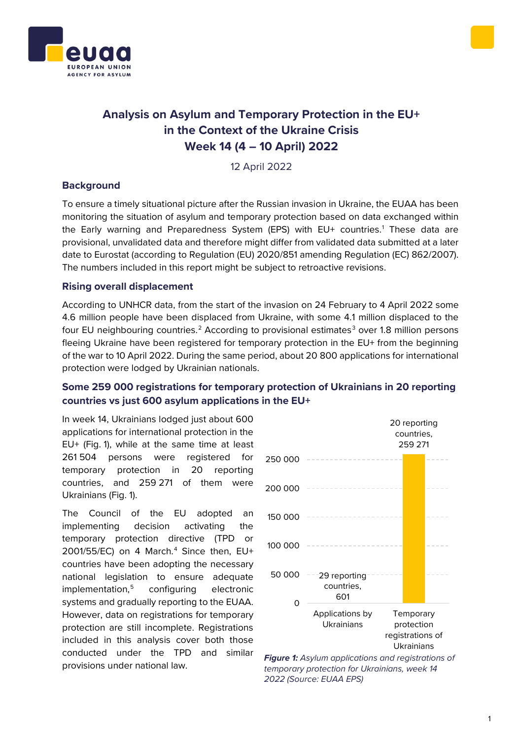



# **Analysis on Asylum and Temporary Protection in the EU+ in the Context of the Ukraine Crisis Week 14 (4 – 10 April) 2022**

12 April 2022

### **Background**

To ensure a timely situational picture after the Russian invasion in Ukraine, the EUAA has been monitoring the situation of asylum and temporary protection based on data exchanged within the Early warning and Preparedness System (EPS) with EU+ countries. [1](#page-1-0) These data are provisional, unvalidated data and therefore might differ from validated data submitted at a later date to Eurostat (according to Regulation (EU) 2020/851 amending Regulation (EC) 862/2007). The numbers included in this report might be subject to retroactive revisions.

### **Rising overall displacement**

According to UNHCR data, from the start of the invasion on 24 February to 4 April 2022 some 4.6 million people have been displaced from Ukraine, with some 4.1 million displaced to the four EU neighbouring countries.<sup>[2](#page-1-1)</sup> According to provisional estimates<sup>[3](#page-1-2)</sup> over 1.8 million persons fleeing Ukraine have been registered for temporary protection in the EU+ from the beginning of the war to 10 April 2022. During the same period, about 20 800 applications for international protection were lodged by Ukrainian nationals.

## **Some 259 000 registrations for temporary protection of Ukrainians in 20 reporting countries vs just 600 asylum applications in the EU+**

In week 14, Ukrainians lodged just about 600 applications for international protection in the EU+ (Fig. 1), while at the same time at least 261 504 persons were registered for temporary protection in 20 reporting countries, and 259 271 of them were Ukrainians (Fig. 1).

The Council of the EU adopted an implementing decision activating the temporary protection directive (TPD or 2001/55/EC) on [4](#page-1-3) March.<sup>4</sup> Since then, EU+ countries have been adopting the necessary national legislation to ensure adequate implementation,<sup>[5](#page-1-4)</sup> configuring electronic systems and gradually reporting to the EUAA. However, data on registrations for temporary protection are still incomplete. Registrations included in this analysis cover both those conducted under the TPD and similar provisions under national law. *Figure 1: Asylum applications and registrations of*